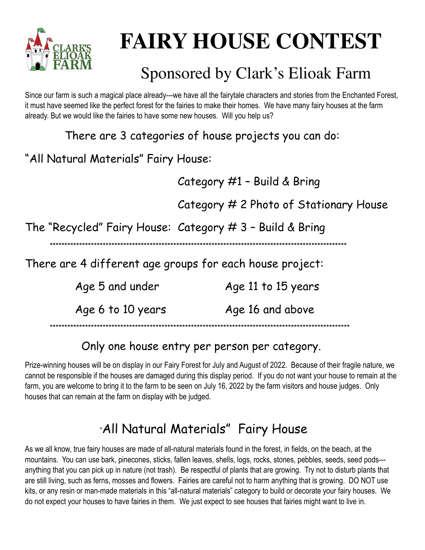

# **FAIRY HOUSE CONTEST**

## Sponsored by Clark's Elioak Farm

Since our farm is such a magical place already---we have all the fairytale characters and stories from the Enchanted Forest, it must have seemed like the perfect forest for the fairies to make their homes. We have many fairy houses at the farm already. But we would like the fairies to have some new houses. Will you help us?

There are 3 categories of house projects you can do:

#### "All Natural Materials" Fairy House:

Category #1 - Build & Bring

Category # 2 Photo of Stationary House

The "Recycled" Fairy House: Category # 3 - Build & Bring

There are 4 different age groups for each house project:

Age 5 and under Age 11 to 15 years

Age 6 to 10 years Age 16 and above

#### Only one house entry per person per category.

Prize-winning houses will be on display in our Fairy Forest for July and August of 2022. Because of their fragile nature, we cannot be responsible if the houses are damaged during this display period. If you do not want your house to remain at the farm, you are welcome to bring it to the farm to be seen on July 16, 2022 by the farm visitors and house judges. Only houses that can remain at the farm on display with be judged.

## "All Natural Materials" Fairy House

As we all know, true fairy houses are made of all-natural materials found in the forest, in fields, on the beach, at the mountains. You can use bark, pinecones, sticks, fallen leaves, shells, logs, rocks, stones, pebbles, seeds, seed pods--anything that you can pick up in nature (not trash). Be respectful of plants that are growing. Try not to disturb plants that are still living, such as ferns, mosses and flowers. Fairies are careful not to harm anything that is growing. DO NOT use kits, or any resin or man-made materials in this "all-natural materials" category to build or decorate your fairy houses. We do not expect your houses to have fairies in them. We just expect to see houses that fairies might want to live in.